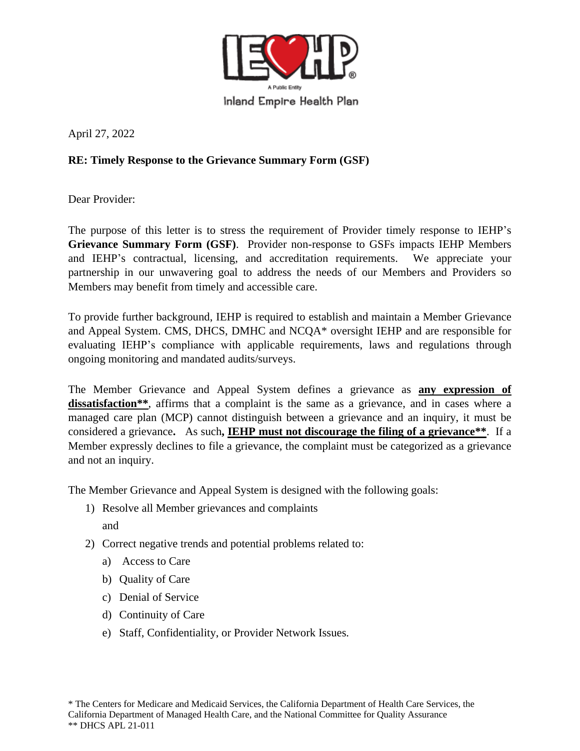

April 27, 2022

## **RE: Timely Response to the Grievance Summary Form (GSF)**

Dear Provider:

The purpose of this letter is to stress the requirement of Provider timely response to IEHP's **Grievance Summary Form (GSF)**. Provider non-response to GSFs impacts IEHP Members and IEHP's contractual, licensing, and accreditation requirements. We appreciate your partnership in our unwavering goal to address the needs of our Members and Providers so Members may benefit from timely and accessible care.

To provide further background, IEHP is required to establish and maintain a Member Grievance and Appeal System. CMS, DHCS, DMHC and NCQA\* oversight IEHP and are responsible for evaluating IEHP's compliance with applicable requirements, laws and regulations through ongoing monitoring and mandated audits/surveys.

The Member Grievance and Appeal System defines a grievance as **any expression of dissatisfaction\*\***, affirms that a complaint is the same as a grievance, and in cases where a managed care plan (MCP) cannot distinguish between a grievance and an inquiry, it must be considered a grievance**.** As such**, IEHP must not discourage the filing of a grievance\*\***. If a Member expressly declines to file a grievance, the complaint must be categorized as a grievance and not an inquiry.

The Member Grievance and Appeal System is designed with the following goals:

- 1) Resolve all Member grievances and complaints and
- 2) Correct negative trends and potential problems related to:
	- a) Access to Care
	- b) Quality of Care
	- c) Denial of Service
	- d) Continuity of Care
	- e) Staff, Confidentiality, or Provider Network Issues.